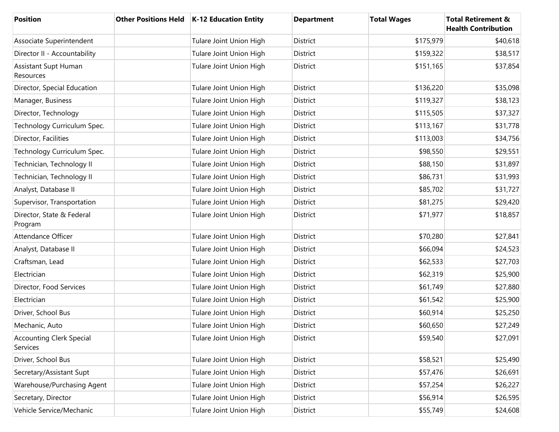| Position                                    | Other Positions Held   K-12 Education Entity | <b>Department</b> | <b>Total Wages</b> | <b>Total Retirement &amp;</b><br><b>Health Contribution</b> |
|---------------------------------------------|----------------------------------------------|-------------------|--------------------|-------------------------------------------------------------|
| Associate Superintendent                    | Tulare Joint Union High                      | District          | \$175,979          | \$40,618                                                    |
| Director II - Accountability                | Tulare Joint Union High                      | <b>District</b>   | \$159,322          | \$38,517                                                    |
| Assistant Supt Human<br>Resources           | Tulare Joint Union High                      | District          | \$151,165          | \$37,854                                                    |
| Director, Special Education                 | Tulare Joint Union High                      | District          | \$136,220          | \$35,098                                                    |
| Manager, Business                           | Tulare Joint Union High                      | District          | \$119,327          | \$38,123                                                    |
| Director, Technology                        | Tulare Joint Union High                      | District          | \$115,505          | \$37,327                                                    |
| Technology Curriculum Spec.                 | Tulare Joint Union High                      | District          | \$113,167          | \$31,778                                                    |
| Director, Facilities                        | Tulare Joint Union High                      | District          | \$113,003          | \$34,756                                                    |
| Technology Curriculum Spec.                 | Tulare Joint Union High                      | District          | \$98,550           | \$29,551                                                    |
| Technician, Technology II                   | Tulare Joint Union High                      | District          | \$88,150           | \$31,897                                                    |
| Technician, Technology II                   | Tulare Joint Union High                      | District          | \$86,731           | \$31,993                                                    |
| Analyst, Database II                        | Tulare Joint Union High                      | District          | \$85,702           | \$31,727                                                    |
| Supervisor, Transportation                  | Tulare Joint Union High                      | District          | \$81,275           | \$29,420                                                    |
| Director, State & Federal<br>Program        | Tulare Joint Union High                      | District          | \$71,977           | \$18,857                                                    |
| Attendance Officer                          | Tulare Joint Union High                      | District          | \$70,280           | \$27,841                                                    |
| Analyst, Database II                        | Tulare Joint Union High                      | District          | \$66,094           | \$24,523                                                    |
| Craftsman, Lead                             | Tulare Joint Union High                      | District          | \$62,533           | \$27,703                                                    |
| Electrician                                 | Tulare Joint Union High                      | District          | \$62,319           | \$25,900                                                    |
| Director, Food Services                     | Tulare Joint Union High                      | District          | \$61,749           | \$27,880                                                    |
| Electrician                                 | Tulare Joint Union High                      | District          | \$61,542           | \$25,900                                                    |
| Driver, School Bus                          | Tulare Joint Union High                      | District          | \$60,914           | \$25,250                                                    |
| Mechanic, Auto                              | Tulare Joint Union High                      | District          | \$60,650           | \$27,249                                                    |
| <b>Accounting Clerk Special</b><br>Services | Tulare Joint Union High                      | District          | \$59,540           | \$27,091                                                    |
| Driver, School Bus                          | Tulare Joint Union High                      | District          | \$58,521           | \$25,490                                                    |
| Secretary/Assistant Supt                    | Tulare Joint Union High                      | District          | \$57,476           | \$26,691                                                    |
| Warehouse/Purchasing Agent                  | Tulare Joint Union High                      | District          | \$57,254           | \$26,227                                                    |
| Secretary, Director                         | Tulare Joint Union High                      | District          | \$56,914           | \$26,595                                                    |
| Vehicle Service/Mechanic                    | Tulare Joint Union High                      | District          | \$55,749           | \$24,608                                                    |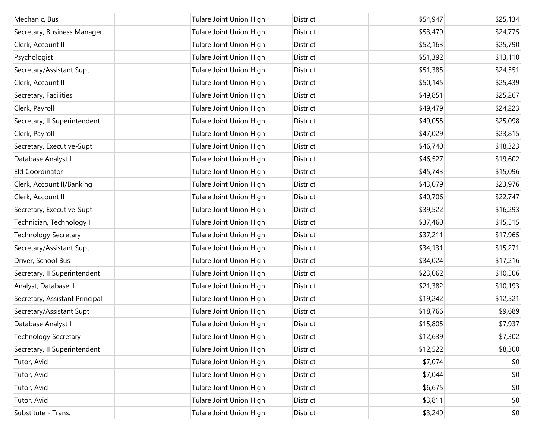| Mechanic, Bus                  | Tulare Joint Union High | District        | \$54,947 | \$25,134 |
|--------------------------------|-------------------------|-----------------|----------|----------|
| Secretary, Business Manager    | Tulare Joint Union High | <b>District</b> | \$53,479 | \$24,775 |
| Clerk, Account II              | Tulare Joint Union High | District        | \$52,163 | \$25,790 |
| Psychologist                   | Tulare Joint Union High | District        | \$51,392 | \$13,110 |
| Secretary/Assistant Supt       | Tulare Joint Union High | District        | \$51,385 | \$24,551 |
| Clerk, Account II              | Tulare Joint Union High | District        | \$50,145 | \$25,439 |
| Secretary, Facilities          | Tulare Joint Union High | District        | \$49,851 | \$25,267 |
| Clerk, Payroll                 | Tulare Joint Union High | District        | \$49,479 | \$24,223 |
| Secretary, II Superintendent   | Tulare Joint Union High | District        | \$49,055 | \$25,098 |
| Clerk, Payroll                 | Tulare Joint Union High | District        | \$47,029 | \$23,815 |
| Secretary, Executive-Supt      | Tulare Joint Union High | District        | \$46,740 | \$18,323 |
| Database Analyst I             | Tulare Joint Union High | District        | \$46,527 | \$19,602 |
| Eld Coordinator                | Tulare Joint Union High | District        | \$45,743 | \$15,096 |
| Clerk, Account II/Banking      | Tulare Joint Union High | District        | \$43,079 | \$23,976 |
| Clerk, Account II              | Tulare Joint Union High | District        | \$40,706 | \$22,747 |
| Secretary, Executive-Supt      | Tulare Joint Union High | District        | \$39,522 | \$16,293 |
| Technician, Technology I       | Tulare Joint Union High | District        | \$37,460 | \$15,515 |
| <b>Technology Secretary</b>    | Tulare Joint Union High | District        | \$37,211 | \$17,965 |
| Secretary/Assistant Supt       | Tulare Joint Union High | District        | \$34,131 | \$15,271 |
| Driver, School Bus             | Tulare Joint Union High | District        | \$34,024 | \$17,216 |
| Secretary, II Superintendent   | Tulare Joint Union High | District        | \$23,062 | \$10,506 |
| Analyst, Database II           | Tulare Joint Union High | District        | \$21,382 | \$10,193 |
| Secretary, Assistant Principal | Tulare Joint Union High | District        | \$19,242 | \$12,521 |
| Secretary/Assistant Supt       | Tulare Joint Union High | District        | \$18,766 | \$9,689  |
| Database Analyst I             | Tulare Joint Union High | District        | \$15,805 | \$7,937  |
| <b>Technology Secretary</b>    | Tulare Joint Union High | District        | \$12,639 | \$7,302  |
| Secretary, II Superintendent   | Tulare Joint Union High | District        | \$12,522 | \$8,300  |
| Tutor, Avid                    | Tulare Joint Union High | District        | \$7,074  | \$0      |
| Tutor, Avid                    | Tulare Joint Union High | District        | \$7,044  | \$0      |
| Tutor, Avid                    | Tulare Joint Union High | District        | \$6,675  | \$0      |
| Tutor, Avid                    | Tulare Joint Union High | District        | \$3,811  | \$0      |
| Substitute - Trans.            | Tulare Joint Union High | District        | \$3,249  | \$0      |